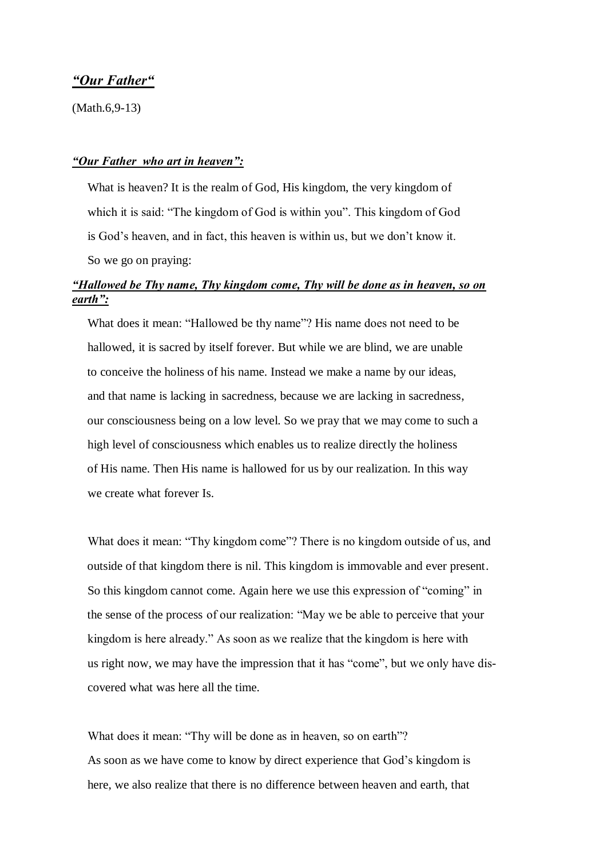## *"Our Father"*

(Math.6,9-13)

#### *"Our Father who art in heaven":*

 What is heaven? It is the realm of God, His kingdom, the very kingdom of which it is said: "The kingdom of God is within you". This kingdom of God is God's heaven, and in fact, this heaven is within us, but we don't know it. So we go on praying:

# *"Hallowed be Thy name, Thy kingdom come, Thy will be done as in heaven, so on earth":*

 What does it mean: "Hallowed be thy name"? His name does not need to be hallowed, it is sacred by itself forever. But while we are blind, we are unable to conceive the holiness of his name. Instead we make a name by our ideas, and that name is lacking in sacredness, because we are lacking in sacredness, our consciousness being on a low level. So we pray that we may come to such a high level of consciousness which enables us to realize directly the holiness of His name. Then His name is hallowed for us by our realization. In this way we create what forever Is.

What does it mean: "Thy kingdom come"? There is no kingdom outside of us, and outside of that kingdom there is nil. This kingdom is immovable and ever present. So this kingdom cannot come. Again here we use this expression of "coming" in the sense of the process of our realization: "May we be able to perceive that your kingdom is here already." As soon as we realize that the kingdom is here with us right now, we may have the impression that it has "come", but we only have dis covered what was here all the time.

What does it mean: "Thy will be done as in heaven, so on earth"? As soon as we have come to know by direct experience that God's kingdom is here, we also realize that there is no difference between heaven and earth, that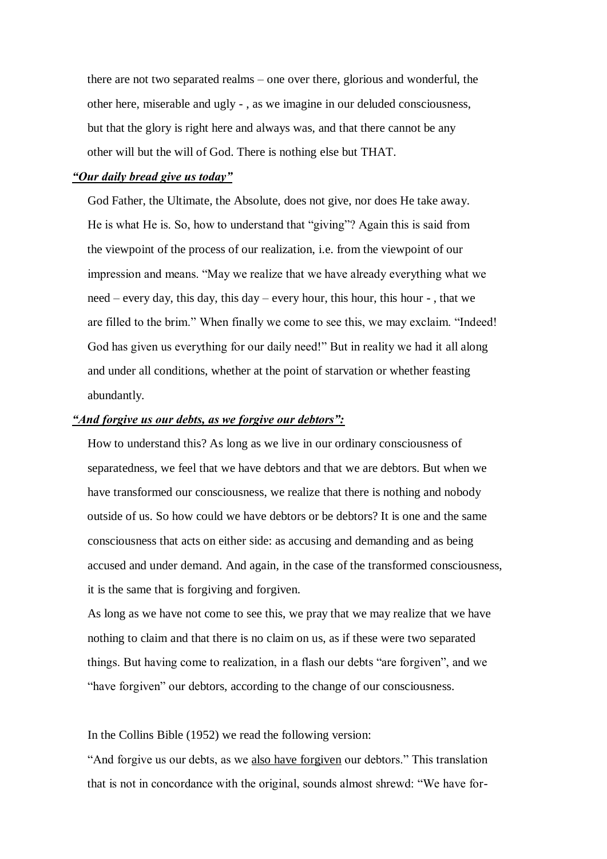there are not two separated realms – one over there, glorious and wonderful, the other here, miserable and ugly - , as we imagine in our deluded consciousness, but that the glory is right here and always was, and that there cannot be any other will but the will of God. There is nothing else but THAT.

#### *"Our daily bread give us today"*

 God Father, the Ultimate, the Absolute, does not give, nor does He take away. He is what He is. So, how to understand that "giving"? Again this is said from the viewpoint of the process of our realization, i.e. from the viewpoint of our impression and means. "May we realize that we have already everything what we need – every day, this day, this day – every hour, this hour, this hour - , that we are filled to the brim." When finally we come to see this, we may exclaim. "Indeed! God has given us everything for our daily need!" But in reality we had it all along and under all conditions, whether at the point of starvation or whether feasting abundantly.

### *"And forgive us our debts, as we forgive our debtors":*

 How to understand this? As long as we live in our ordinary consciousness of separatedness, we feel that we have debtors and that we are debtors. But when we have transformed our consciousness, we realize that there is nothing and nobody outside of us. So how could we have debtors or be debtors? It is one and the same consciousness that acts on either side: as accusing and demanding and as being accused and under demand. And again, in the case of the transformed consciousness, it is the same that is forgiving and forgiven.

 As long as we have not come to see this, we pray that we may realize that we have nothing to claim and that there is no claim on us, as if these were two separated things. But having come to realization, in a flash our debts "are forgiven", and we "have forgiven" our debtors, according to the change of our consciousness.

In the Collins Bible (1952) we read the following version:

 "And forgive us our debts, as we also have forgiven our debtors." This translation that is not in concordance with the original, sounds almost shrewd: "We have for